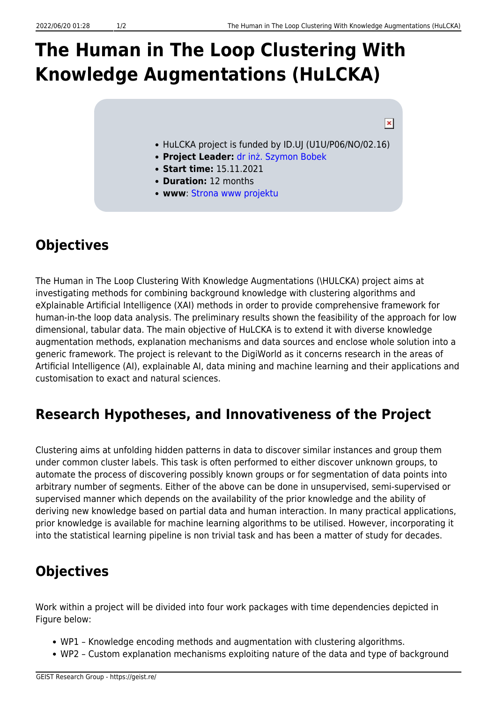# **The Human in The Loop Clustering With Knowledge Augmentations (HuLCKA)**

#### $\pmb{\times}$

- HuLCKA project is funded by ID.UJ (U1U/P06/NO/02.16)
- **Project Leader:** [dr inż. Szymon Bobek](https://geist.re/pub:about_us:sbk)
- **Start time:** 15.11.2021
- **Duration:** 12 months
- **www**: [Strona www projektu](https://geist.re/pub:projects:hulcka:start)

# **Objectives**

The Human in The Loop Clustering With Knowledge Augmentations (\HULCKA) project aims at investigating methods for combining background knowledge with clustering algorithms and eXplainable Artificial Intelligence (XAI) methods in order to provide comprehensive framework for human-in-the loop data analysis. The preliminary results shown the feasibility of the approach for low dimensional, tabular data. The main objective of HuLCKA is to extend it with diverse knowledge augmentation methods, explanation mechanisms and data sources and enclose whole solution into a generic framework. The project is relevant to the DigiWorld as it concerns research in the areas of Artificial Intelligence (AI), explainable AI, data mining and machine learning and their applications and customisation to exact and natural sciences.

### **Research Hypotheses, and Innovativeness of the Project**

Clustering aims at unfolding hidden patterns in data to discover similar instances and group them under common cluster labels. This task is often performed to either discover unknown groups, to automate the process of discovering possibly known groups or for segmentation of data points into arbitrary number of segments. Either of the above can be done in unsupervised, semi-supervised or supervised manner which depends on the availability of the prior knowledge and the ability of deriving new knowledge based on partial data and human interaction. In many practical applications, prior knowledge is available for machine learning algorithms to be utilised. However, incorporating it into the statistical learning pipeline is non trivial task and has been a matter of study for decades.

## **Objectives**

Work within a project will be divided into four work packages with time dependencies depicted in Figure below:

- WP1 Knowledge encoding methods and augmentation with clustering algorithms.
- WP2 Custom explanation mechanisms exploiting nature of the data and type of background